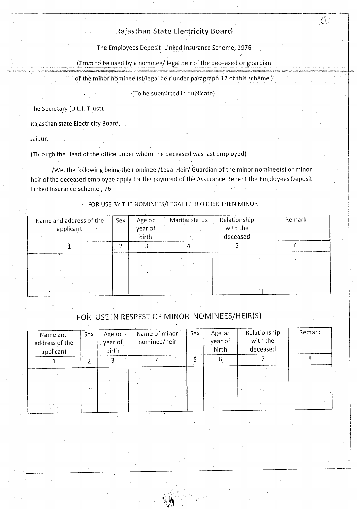## Rajasthan State Electricity Board

 $\mathbb{C}$ 

The Employees Deposit- Linked Insurance Scheme, 1976

(From to be used by a nominee/ legal heir of the deceased or guardian

of the minor nominee (s)/legal heir under paragraph 12 of this scheme)

(To be submitted in duplicate)

The Secretary (D.L.I.-Trust),

Rajasthan state Electricity Board,

Jaipur.

(Through the Head of the office under whom the deceased was last employed)

I/We, the following being the nominee /Legal Heir/ Guardian of the minor nominee(s) or minor heir of the deceased employee apply for the payment of the Assurance Benent the Employees Deposit Linked Insurance Scheme, 76.

FOR USE BY THE NOMINEES/LEGAL HEIR OTHER THEN MINOR

| Name and address of the<br>applicant | Sex | Age or<br>year of<br>birth | Marital status | Relationship<br>with the<br>deceased | Remark |
|--------------------------------------|-----|----------------------------|----------------|--------------------------------------|--------|
|                                      |     |                            |                |                                      |        |
|                                      |     |                            |                |                                      |        |

FOR USE IN RESPEST OF MINOR NOMINEES/HEIR(S)

| Name and<br>address of the<br>applicant | Sex          | Age or<br>year of<br>birth | Name of minor<br>nominee/heir | Sex | Age or<br>year of<br>birth | Relationship<br>with the<br>deceased | Remark |
|-----------------------------------------|--------------|----------------------------|-------------------------------|-----|----------------------------|--------------------------------------|--------|
|                                         |              |                            |                               |     |                            |                                      |        |
|                                         | $\mathbf{r}$ |                            |                               |     |                            |                                      |        |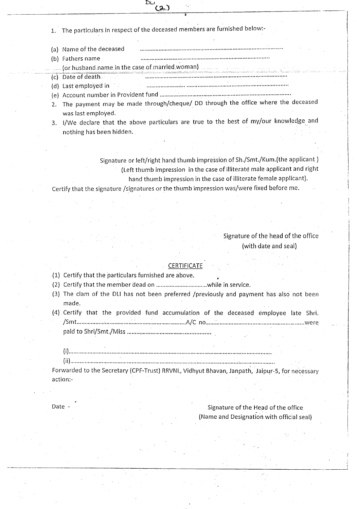1. The particulars in respect of the deceased members are furnished below:-

 $(2)$ 

DLI

- (a) Name of the deceased , .
- (b) Fathers name .
	- . (or husband.name.in the case of married. woman)
- (c) Date of death **. \_ .**
- (d) Last employed in **.....................; .**
- (e) Account number in Provident fund .
- 2. The payment may be made through/cheque/ DO through the office where the deceased was last employed.
- 3. I/We declare that the above particulars are true to the best of my/our knowledge and nothing has been hidden.

Signature or left/right hand thumb impression of Sh./Smt./Kum.(the applicant) (Left thumb impression in the case of illiterate male applicant and right hand thumb impression in the case of illiterate female applicant).

Certify that the signature /signatures or the thumb impression was/were fixed before me.

### Signature of the head of the office (with date and seal)

#### **CERTIFICATE**

- (1) Certify that the particulars furnished are above.
- (2) Certify that the member dead on while in service.
- (3) The clam of the DLI has not been preferred /previously and payment has also not been made.
- (4) Certify that the provided fund accumulation of the deceased employee late Shri. /S t .. *I* m , A,C no :· were paid to Shri/Smt./Miss ..

(i) .

(ii) : .

Forwarded to the Secretary (CPF-Trust) RRVNL, Vidhyut Bhavan, Janpath, Jaipur-S, for necessary action:-

Date - Signature of the Head of the office (Name and Designation with official seal)

> 'I . ...-J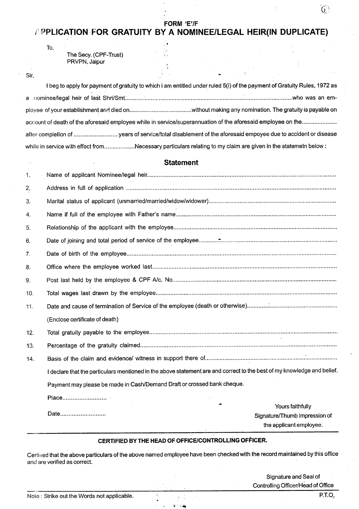#### **FORM** 'E'/F

## **[' PPUCATION FOR GRATUITY BY A NOMINEE/LEGAL HEIR(IN DUPLICATE)**

, .

v-

 $\ddot{\phantom{a}}$ 

The Secy. (CPF-Trust) PRVPN, Jaipur

Sir,

To,

|                                                                                                               | I beg to apply for payment of gratuity to which i am entitled under ruled 5(i) of the payment of Gratuity Rules, 1972 as |
|---------------------------------------------------------------------------------------------------------------|--------------------------------------------------------------------------------------------------------------------------|
|                                                                                                               |                                                                                                                          |
|                                                                                                               |                                                                                                                          |
|                                                                                                               | account of death of the aforesaid employee while in service/superannuation of the aforesaid employee on the              |
|                                                                                                               | after completion of years of service/total disablement of the aforesaid empoyee due to accident or disease               |
| while in service with effect fromNecessary particulars relating to my claim are given in the statemetn below: |                                                                                                                          |

#### **Statement**

| 1.  |                                                                                                                         |  |
|-----|-------------------------------------------------------------------------------------------------------------------------|--|
| 2.  |                                                                                                                         |  |
| 3.  |                                                                                                                         |  |
| 4.  |                                                                                                                         |  |
| 5.  |                                                                                                                         |  |
| 6.  |                                                                                                                         |  |
| 7.  |                                                                                                                         |  |
| 8.  |                                                                                                                         |  |
| 9.  |                                                                                                                         |  |
| 10. |                                                                                                                         |  |
| 11. |                                                                                                                         |  |
|     | (Enclose certificate of death)                                                                                          |  |
| 12. |                                                                                                                         |  |
| 13. |                                                                                                                         |  |
| 14. |                                                                                                                         |  |
|     | I declare that the particulars mentioned in the above statement are and correct to the best of my knowledge and belief. |  |
|     | Payment may please be made in Cash/Demand Draft or crossed bank cheque.                                                 |  |
|     |                                                                                                                         |  |
|     | Yours faithfully<br>Date<br>Signature/Thumb Impression of                                                               |  |
|     | the applicant employee.                                                                                                 |  |

#### **CERTIFIED BY THE HEAD OF OFFICE/CONTROLLING OFFICER.**

Certined that the above particulars of the above named employee have been checked with the record maintained by this office and are verified as correct.

> Signature and Seal of Controlling Officer/Head of Office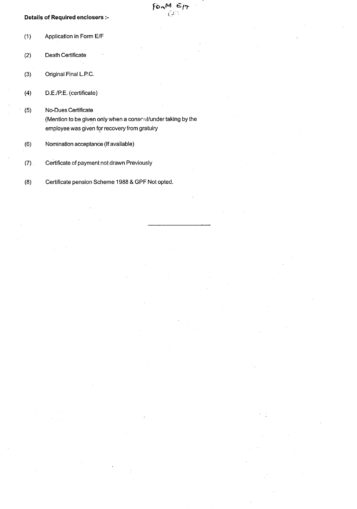#### Details of Required enclosers :-

(1) Application in Form ElF (2) Death Certificate (3) Original Final L.PC. (4) D.E.!P.E. (certificate) (5) No-Dues Certificate (Mention to be given only when a consent/under taking by the employee was given for recovery from gratuiry (6) Nomination acceptance (If available)

 $\varepsilon$   $\kappa$ *0-'*

- (7) Certificate of payment not drawn Previously
- (8) Certificate pension Scheme 1988 & GPF Not opted.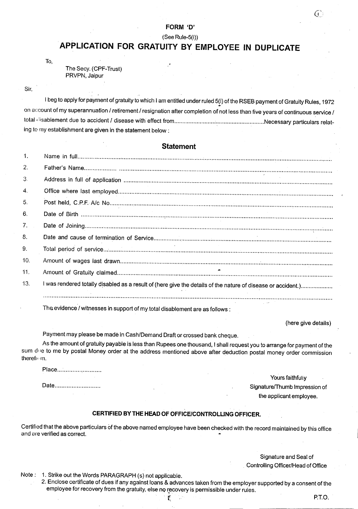#### **FORM** '0'

#### $(See Rule-5(i))$

# **APPLICATION FOR GRATUITY BY EMPLOYEE IN DUPLICATE**

To,

The Secy. (CPF-Trust) PRVPN, Jaipur

#### Sir,

I beg to apply for payment of gratuity to which I am entitled under ruled 5(i) of the RSEB payment of Gratuity Rules, 1972  $\frac{1}{2}$ . on account of my superannuation / retirement / resignation after completion of not less than five years of continuous service / total, iisablement due to accident / disease with effect from Necessary particulars relating to my establishment are given in the statement below:

#### **Statement**

| -1.                   |                                                                                                              |
|-----------------------|--------------------------------------------------------------------------------------------------------------|
| 2.                    |                                                                                                              |
| 3.                    |                                                                                                              |
| $\mathcal{A}_{\cdot}$ |                                                                                                              |
| 5.                    |                                                                                                              |
| 6.                    |                                                                                                              |
| 7 <sub>1</sub>        |                                                                                                              |
| 8.                    |                                                                                                              |
| 9.                    |                                                                                                              |
| 10.                   |                                                                                                              |
| 11.                   |                                                                                                              |
| 13.                   | I was rendered totally disabled as a result of (here give the details of the nature of disease or accident.) |
|                       |                                                                                                              |

The evidence / witnesses in support of my total disablement are as follows:

(here give details)

Œ

Payment may please be made in Cash/Demand Draft or crossed bank cheque.

As the amount of gratuity payable is less than Rupees one thousand, I shall request you to arrange for payment of the sum due to me by postal Money order at the address mentioned above after deduction postal money order commission therefn m.

Place...........................

Date...........................

Yours faithfuliy Signature/Thumb Impression of the applicant employee.

#### **CERTIFIED BY THE HEAD OF OFFICE/CONTROLLING OFFICER.**

Certified that the above particulars of the above named employee have been checked with the record maintained by this office and are verified as correct.

> Signature and Seal of Controlling Qfficer/Head of Office

Note: 1. Strike out the Words PARAGRAPH (5) not applicable.

2. Enclose certificate of dues if any against loans & advances taken from the employer supported by a consent of the employee for recovery from the gratuity, else no recovery is permissible under rules.

f. The set of the set of the set of the set of  $P.T.O.$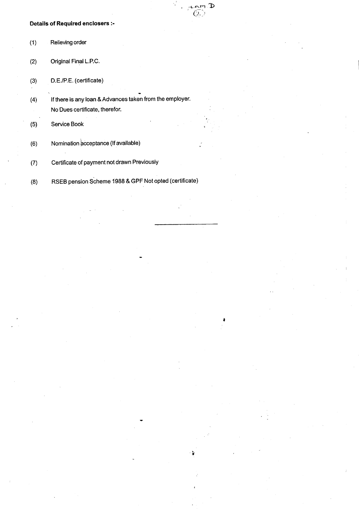#### Details of Required enclosers :-

| (1) | Relieving order       |
|-----|-----------------------|
| (2) | Original Final L.P.C. |

(3) D.E.lP.E. (certificate)

(4) If there is any loan & Advances taken from the employer. No Dues certificate, therefor.

 $\mathbf p$ 

Ć.

(5) Service Book

(6) Nomination acceptance (If available)

(7) Certificate of payment not drawn Previously

(8) RSEB pension Scheme 1988 & GPF Not opted (certificate)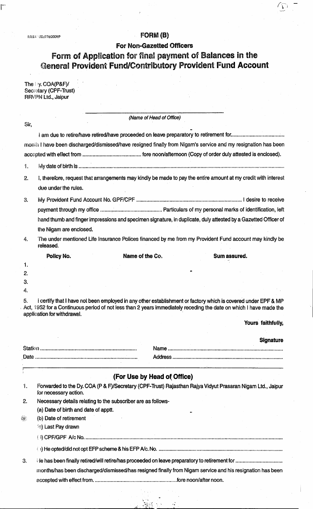$\overline{\Gamma}$ 

# R.R.S.A.<sup>2</sup> LID./776/2009/P **ED. 2009/P FORM (B)**

For Non-Gazetted Officers

 $\sum$ 

# Form of Application for final payment of Balances in the General Provident Fund/Contributory Provident Fund Accoun

| The Dy. COA(P&F)/     |
|-----------------------|
| Secretary (CPF-Trust) |
| RRVPN Ltd., Jaipur    |

|              | (Name of Head of Office)                                                                                                                                              |                  |
|--------------|-----------------------------------------------------------------------------------------------------------------------------------------------------------------------|------------------|
| Sir,         |                                                                                                                                                                       |                  |
|              |                                                                                                                                                                       |                  |
|              | month I have been discharged/dismissed/have resigned finally from Nigam's service and my resignation has been                                                         |                  |
|              |                                                                                                                                                                       |                  |
| 1.           |                                                                                                                                                                       |                  |
| 2.           | I, therefore, request that arrangements may kindly be made to pay the entire amount at my credit with interest                                                        |                  |
|              | due under the rules.                                                                                                                                                  |                  |
| 3.           |                                                                                                                                                                       |                  |
|              |                                                                                                                                                                       |                  |
|              | hand thumb and finger impressions and specimen signature, in duplicate, duly attested by a Gazetted Officer of                                                        |                  |
|              | the Nigam are enclosed.                                                                                                                                               |                  |
| 4.           | The under mentioned Life Insurance Polices financed by me from my Provident Fund account may kindly be<br>released.                                                   |                  |
|              | Name of the Co.<br>Policy No.<br>Sum assured.                                                                                                                         |                  |
| 1.           |                                                                                                                                                                       |                  |
| 2.           |                                                                                                                                                                       |                  |
| 3.<br>4.     |                                                                                                                                                                       |                  |
|              | Act, 1952 for a Continuous period of not less than 2 years immediately receding the date on which I have made the<br>application for withdrawal.<br>Yours faithfully, |                  |
|              |                                                                                                                                                                       | <b>Signature</b> |
|              |                                                                                                                                                                       |                  |
|              |                                                                                                                                                                       |                  |
| T            | <u> 1990 - Andrew Marie Barnett, amerikan bestehen a</u>                                                                                                              |                  |
| $\mathbf{r}$ | (For Use by Head of Office)                                                                                                                                           |                  |
| 1.           | Forwarded to the Dy. COA (P & F)/Secretary (CPF-Trust) Rajasthan Rajya Vidyut Prasaran Nigam Ltd., Jaipur<br>for necessary action.                                    |                  |
| $\mathbf{2}$ | Necessary details relating to the subscriber are as follows-                                                                                                          |                  |
|              | (a) Date of birth and date of apptt.                                                                                                                                  |                  |
| 釀            | (b) Date of retirement                                                                                                                                                |                  |
|              | (c) Last Pay drawn                                                                                                                                                    |                  |
|              |                                                                                                                                                                       |                  |
|              |                                                                                                                                                                       |                  |
| 3.           |                                                                                                                                                                       |                  |
|              |                                                                                                                                                                       |                  |
|              | months/has been discharged/dismissed/has resigned finally from Nigam service and his resignation has been                                                             |                  |

 $\frac{1}{2}$  .  $\frac{1}{2}$  .  $\frac{1}{2}$  .  $\frac{1}{2}$  .  $\frac{1}{2}$  .  $\frac{1}{2}$  .  $\frac{1}{2}$  .  $\frac{1}{2}$  .  $\frac{1}{2}$  .  $\frac{1}{2}$  .  $\frac{1}{2}$  .  $\frac{1}{2}$  .  $\frac{1}{2}$  .  $\frac{1}{2}$  .  $\frac{1}{2}$  .  $\frac{1}{2}$  .  $\frac{1}{2}$  .  $\frac{1}{2}$  .  $\frac{1$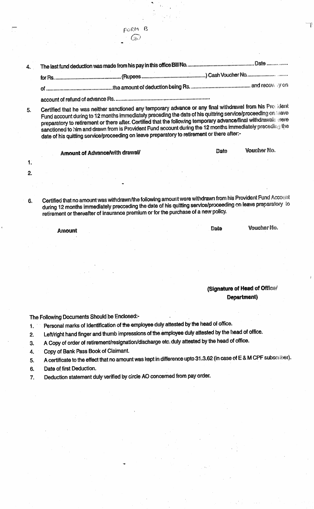4. 

account of refund of advance Rs..................

FORM B  $\sqrt{2}$ 

Certified that he was neither sanctioned any temporary advance or any final withdrawal from his Prosident 5. Fund account during to 12 months immediately preceding the date of his quittring service/proceeding on teave preparatory to retirement or there after. Certified that the following temporary advance/final withdrawals were sanctioned to him and drawn from is Provident Fund account during the 12 months immediately preceding the date of his quitting service/proceeding on leave preparatory to retirement or there after:-

Date Amount of Advance/with drawal/

Certified that no amount was withdrawn/the following amount were withdrawn from his Provident Fund Account 6. during 12 months immediately precceding the date of his quitting service/proceeding on leave preparatory to retirement or thereafter of insurance premium or for the purchase of a new policy.

Amount

1.

 $2.$ 

(Signature of Head of Office/ Department)

Date

Voucher No.

Voucher No.

The Following Documents Should be Enclosed:-

- Personal marks of Identification of the employee duly attested by the head of office. 1.
- Left/right hand finger and thumb impressions of the employee duly attested by the head of office.  $2.$
- A Copy of order of retirement/resignation/discharge etc. duly attested by the head of office. 3.
- 4. Copy of Bank Pass Book of Claimant.
- A certificate to the effect that no amount was kept in difference upto 31.3.62 (in case of E & M CPF subscriber). 5.
- 6. Date of first Deduction.
- Deduction statement duly verified by circle AO concerned from pay order. 7.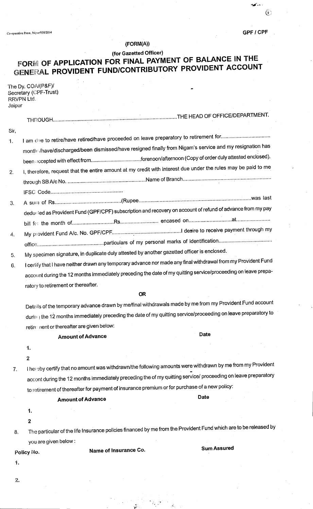$\overline{\mathbb{C}}$ 

 $\mathcal{L}$ 

# $(FORM(A))$

# (for Gazetted Officer)  $FORM$  OF APPLICATION FOR FINAL PAYMENT OF BALANCE IN THE GENERAL **PROVIDENT FUND/CONTRIBUTORY PROVIDENT ACCOUNT**

| The Dy. COA/(P&F)/    |
|-----------------------|
| Secretary (CPF-Trust) |
| RRVPN Ltd.            |
| Jaipur                |

| Sir, |                                            |                                                                                                                  |
|------|--------------------------------------------|------------------------------------------------------------------------------------------------------------------|
| 1.   |                                            |                                                                                                                  |
|      |                                            | month /have/discharged/been dismissed/have resigned finally from Nigam's service and my resignation has          |
|      |                                            |                                                                                                                  |
| 2.   |                                            | I, therefore, request that the entire amount at my credit with interest due under the rules may be paid to me    |
|      |                                            |                                                                                                                  |
|      |                                            |                                                                                                                  |
| 3.   |                                            |                                                                                                                  |
|      |                                            | deducted as Provident Fund (GPF/CPF) subscription and recovery on account of refund of advance from my pay       |
|      |                                            |                                                                                                                  |
| 4.   |                                            |                                                                                                                  |
|      |                                            |                                                                                                                  |
| 5.   |                                            | My specimen signature, in duplicate duly attested by another gazetted officer is enclosed.                       |
| 6.   |                                            | I certify that I have neither drawn any temporary advance nor made any final withdrawal from my Provident Fund   |
|      |                                            | account during the 12 months immediately preceding the date of my quitting service/proceeding on leave prepa-    |
|      | ratory to retirement or thereafter.        |                                                                                                                  |
|      |                                            | <b>OR</b>                                                                                                        |
|      |                                            | Details of the temporary advance drawn by me/final withdrawals made by me from my Provident Fund account         |
|      |                                            | during the 12 months immediately preceding the date of my quitting service/proceeding on leave preparatory to    |
|      | retire nent or thereafter are given below: |                                                                                                                  |
|      | <b>Amount of Advance</b>                   | Date                                                                                                             |
|      | 1.                                         |                                                                                                                  |
|      | $\boldsymbol{2}$                           |                                                                                                                  |
| 7.   |                                            | I hereby certify that no amount was withdrawn/the following amounts were withdrawn by me from my Provident       |
|      |                                            | accont during the 12 months immediately preceding the of my quitting service/ proceeding on leave preparatory    |
|      |                                            | to retirement of thereafter for payment of insurance premium or for purchase of a new policy:                    |
|      | <b>Amount of Advance</b>                   | Date                                                                                                             |
|      | 1.                                         |                                                                                                                  |
|      | $\boldsymbol{2}$                           |                                                                                                                  |
| 8.   |                                            | The particular of the life Insurance policies financed by me from the Provident Fund which are to be released by |
|      | you are given below:                       |                                                                                                                  |
|      | Name of Insurance Co.<br>Policy No.        | <b>Sum Assured</b>                                                                                               |
| 1.   |                                            |                                                                                                                  |
|      |                                            |                                                                                                                  |
| 2.   |                                            |                                                                                                                  |

- \_ ... ----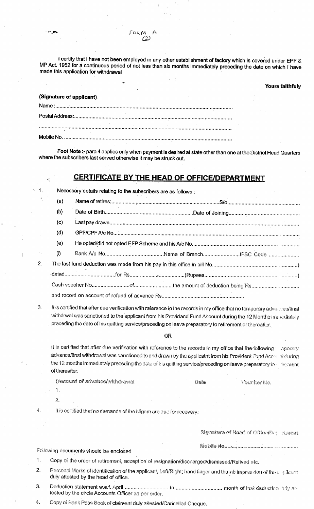| FORM |     | A |
|------|-----|---|
|      | (2) |   |

I certify that I have not been employed in any other establishment of factory which is covered under EPF & MP Act. 1952 for a continuous period of not less than six months immediately preceding the date on which I have made this application for withdrawal

#### Yours faithfuly

| (Signature of applicant) |  |  |  |
|--------------------------|--|--|--|
|                          |  |  |  |
|                          |  |  |  |
|                          |  |  |  |
|                          |  |  |  |

Foot Note :- para 4 applies only when payment is desired at state other than one at the District Head Quarters where the subscribers last served otherwise it may be struck out.

## **CERTIFICATE BY THE HEAD OF** OFFICE/DEPARTMENT

| 1. |     | Necessary details relating to the subscribers are as follows : |                                                                                                                                            |  |  |  |
|----|-----|----------------------------------------------------------------|--------------------------------------------------------------------------------------------------------------------------------------------|--|--|--|
|    | (a) |                                                                |                                                                                                                                            |  |  |  |
|    | (b) |                                                                |                                                                                                                                            |  |  |  |
|    | (c) |                                                                |                                                                                                                                            |  |  |  |
|    | (d) |                                                                |                                                                                                                                            |  |  |  |
|    | (e) |                                                                |                                                                                                                                            |  |  |  |
|    | (1) |                                                                |                                                                                                                                            |  |  |  |
| 2. |     |                                                                |                                                                                                                                            |  |  |  |
|    |     |                                                                |                                                                                                                                            |  |  |  |
|    |     |                                                                |                                                                                                                                            |  |  |  |
|    |     |                                                                |                                                                                                                                            |  |  |  |
|    |     |                                                                | $\vec{v}$ is opplified that often due varification with selector of the seconds to see FC at $\vec{v}$ , $\vec{v}$ , $\vec{v}$ , $\vec{v}$ |  |  |  |

It is certified that after due verification with reference to the records in my office that no temporary advances/final withdrwal was sanctioned to the applicant from his Providend Fund Account during the 12 Months-immediately preceding the date of his quitting service/preceding on leave preparatory to retirement or thereafter,

**C股** 

It is certified that after due verification with reference to the records in my office that the following. Inapprary advance/final withdrawal was sanctioned to and drawn by the applicatnt from his Provident Fund Access at during the 12 months immediately preceding the date of his quitting service/preceding on leave preparatory to  $\cdot$  linement of thereafter.

| (Amount of advance/withdrawal | Date | Voucher No. |
|-------------------------------|------|-------------|
|                               |      |             |

1. 2.

ă

4. It is certified that no demands of the Nigam are due for recovery:

|    |                                                                                                                                                          | Signature of Head of Office/Department |
|----|----------------------------------------------------------------------------------------------------------------------------------------------------------|----------------------------------------|
|    | Following documents should be enclosed                                                                                                                   |                                        |
|    | Copy of the order of retirement, acception of resignation/discharged/dismissed/Relived etc.                                                              |                                        |
| 2. | Personal Marks of identification of the applicant, Left/Right; hand finger and thumb impression of the applicant<br>duly attested by the head of office. |                                        |
| З. | tested by the circle Accounts Officer as per order.                                                                                                      |                                        |

4. Copy of Bank Pass Book of claimant duly attested/Cancelled Cheque.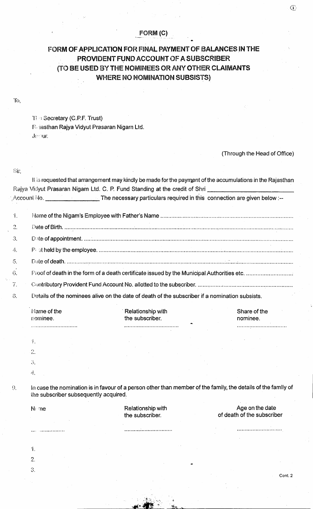#### FORM (C)

## FORM OF APPLICATION FOR FINAL PAYMENT OF BALANCES **IN**THE PROVIDENT FUND ACCOUNT OF A SUBSCRIBER (TO BE USED BY THE NOMINEES OR ANY OTHER CLAIMANTS WHERE NO NOMINATION SUBSISTS)

T! : Secretary (C.P.F. Trust)

R iasthan Rajya Vidyut Prasaran Nigam Ltd. J,'" JUt'.

(Through the Head of Office)

Sir,

|                 |                                       | Account No. Compared the necessary particulars required in this connection are given below :-- |                                                                                                               |  |  |  |
|-----------------|---------------------------------------|------------------------------------------------------------------------------------------------|---------------------------------------------------------------------------------------------------------------|--|--|--|
| $\mathbf{1}$ .  |                                       |                                                                                                |                                                                                                               |  |  |  |
| $\mathcal{Z}$ . |                                       |                                                                                                |                                                                                                               |  |  |  |
| З.              |                                       |                                                                                                |                                                                                                               |  |  |  |
| 4.              |                                       |                                                                                                |                                                                                                               |  |  |  |
| $\iota$ .       |                                       |                                                                                                |                                                                                                               |  |  |  |
| 6.              |                                       |                                                                                                |                                                                                                               |  |  |  |
| 7.              |                                       |                                                                                                |                                                                                                               |  |  |  |
| 8.              |                                       | Details of the nominees alive on the date of death of the subscriber if a nomination subsists. |                                                                                                               |  |  |  |
|                 | Name of the<br>nominee.               | Relationship with<br>the subscriber.                                                           | Share of the<br>nominee.                                                                                      |  |  |  |
|                 |                                       |                                                                                                |                                                                                                               |  |  |  |
|                 | 1.                                    |                                                                                                |                                                                                                               |  |  |  |
|                 | 2.                                    |                                                                                                |                                                                                                               |  |  |  |
|                 | 3.                                    |                                                                                                |                                                                                                               |  |  |  |
|                 | 4.                                    |                                                                                                |                                                                                                               |  |  |  |
| $\Omega$        | the subscriber subsequently acquired. |                                                                                                | In case the nomination is in favour of a person other than member of the family, the details of the family of |  |  |  |
|                 | N⊱me                                  | Relationship with<br>the subscriber.                                                           | Age on the date<br>of death of the subscriber                                                                 |  |  |  |
|                 |                                       |                                                                                                |                                                                                                               |  |  |  |
|                 | 1.                                    |                                                                                                |                                                                                                               |  |  |  |
|                 | $\overline{2}$ .                      |                                                                                                |                                                                                                               |  |  |  |
|                 | 3.                                    |                                                                                                |                                                                                                               |  |  |  |

i, *:~!I!",. .\_* Cont.2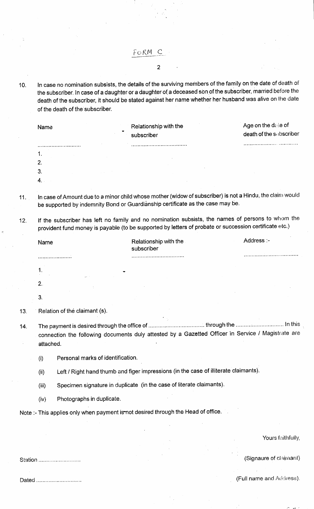FoRM C

2

10. In case no nomination subsists, the details of the surviving members of the family on the date of death of the subscriber. In case of a daughter or a daughter of a deceased son of the subscriber, married before the death of the subscriber, it should be stated against her name whether her husband was alive on the date of the death of the' subscriber.

| Name<br>$\bullet$<br>$\sim$ |                                   | Relationship with the<br>subscriber |        | Age on the date of<br>death of the subscriber |  |
|-----------------------------|-----------------------------------|-------------------------------------|--------|-----------------------------------------------|--|
|                             |                                   |                                     |        | ***********************************           |  |
| -1.                         |                                   |                                     |        |                                               |  |
| -2.                         |                                   |                                     |        |                                               |  |
| $\mathbf{3}$                | and the company of the company of |                                     | $\sim$ |                                               |  |
|                             |                                   |                                     |        |                                               |  |

11. In case of Amount due to a minor child whose mother (widow of subscriber) is not a Hindu, the claim would be supported by indemnity Bond or Guardianship certificate as the case may be.

12. If the subscriber has left no family and no nomination subsists, the names of persons to whom the provident fund money is payable (to be supported by letters of probate or succession certificate etc.)

|         | Name      |                                   | Relationship with the<br>subscriber                                                                | Address :-             |
|---------|-----------|-----------------------------------|----------------------------------------------------------------------------------------------------|------------------------|
|         |           |                                   |                                                                                                    |                        |
|         | 1.        |                                   |                                                                                                    |                        |
|         | 2.        |                                   |                                                                                                    |                        |
|         | 3.        |                                   |                                                                                                    |                        |
| 13.     |           | Relation of the claimant (s).     |                                                                                                    |                        |
| 14.     | attached. |                                   | connection the following documents duly attested by a Gazetted Officer in Service / Magistrate are |                        |
|         | (i)       | Personal marks of identification. |                                                                                                    |                        |
|         | (ii)      |                                   | Left / Right hand thumb and figer impressions (in the case of illiterate claimants).               |                        |
|         | (iii)     |                                   | Specimen signature in duplicate (in the case of literate claimants).                               |                        |
|         | (iv)      | Photographs in duplicate.         |                                                                                                    |                        |
|         |           |                                   | Note :- This applies only when payment i <del>s </del> not desired through the Head of office.     |                        |
|         |           |                                   |                                                                                                    |                        |
|         |           |                                   |                                                                                                    | Yours faithfully,      |
|         |           |                                   |                                                                                                    |                        |
| Station |           |                                   |                                                                                                    | (Signaure of claimant) |

Station ............................

Dated ................................

(Full name and Address).

*:- "\t ,-*